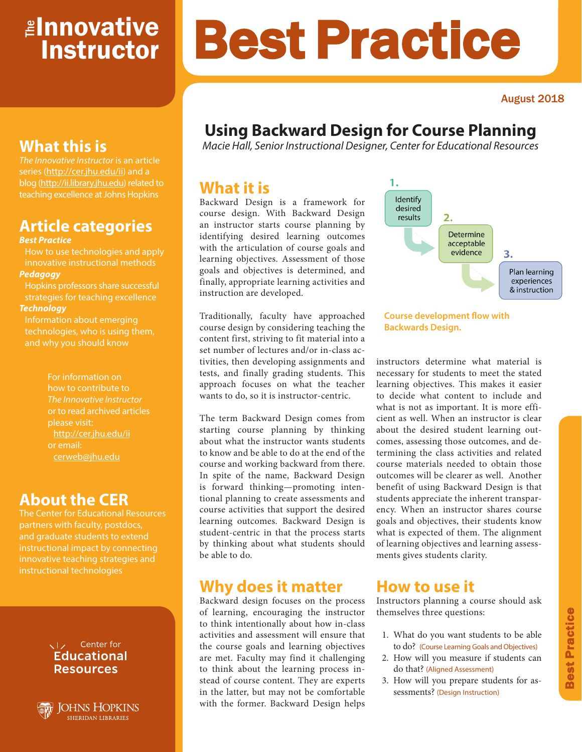# <mark>≇Innovative</mark> Instructor

### August 2018

# **Using Backward Design for Course Planning**

Best Practice

*Macie Hall, Senior Instructional Designer, Center for Educational Resources*

### **What it is**

Backward Design is a framework for course design. With Backward Design an instructor starts course planning by identifying desired learning outcomes with the articulation of course goals and learning objectives. Assessment of those goals and objectives is determined, and finally, appropriate learning activities and instruction are developed.

Traditionally, faculty have approached course design by considering teaching the content first, striving to fit material into a set number of lectures and/or in-class activities, then developing assignments and tests, and finally grading students. This approach focuses on what the teacher wants to do, so it is instructor-centric.

The term Backward Design comes from starting course planning by thinking about what the instructor wants students to know and be able to do at the end of the course and working backward from there. In spite of the name, Backward Design is forward thinking—promoting intentional planning to create assessments and course activities that support the desired learning outcomes. Backward Design is student-centric in that the process starts by thinking about what students should be able to do.

### **Why does it matter**

Backward design focuses on the process of learning, encouraging the instructor to think intentionally about how in-class activities and assessment will ensure that the course goals and learning objectives are met. Faculty may find it challenging to think about the learning process instead of course content. They are experts in the latter, but may not be comfortable with the former. Backward Design helps



#### **Course development flow with Backwards Design.**

instructors determine what material is necessary for students to meet the stated learning objectives. This makes it easier to decide what content to include and what is not as important. It is more efficient as well. When an instructor is clear about the desired student learning outcomes, assessing those outcomes, and determining the class activities and related course materials needed to obtain those outcomes will be clearer as well. Another benefit of using Backward Design is that students appreciate the inherent transparency. When an instructor shares course goals and objectives, their students know what is expected of them. The alignment of learning objectives and learning assessments gives students clarity.

### **How to use it**

Instructors planning a course should ask themselves three questions:

- 1. What do you want students to be able to do? (Course Learning Goals and Objectives)
- 2. How will you measure if students can do that? (Aligned Assessment)
- 3. How will you prepare students for assessments? (Design Instruction)

# **What this is**

*The Innovative Instructor* is an article series (http://cer.jhu.edu/ii) and a blog (http://ii.library.jhu.edu) related to teaching excellence at Johns Hopkins

# **Article categories**

#### *Best Practice*

How to use technologies and apply innovative instructional methods *Pedagogy*

Hopkins professors share successful strategies for teaching excellence *Technology*

Information about emerging technologies, who is using them, and why you should know

> For information on how to contribute to *The Innovative Instructor* or to read archived articles please visit: http://cer.jhu.edu/ii or email: cerweb@jhu.edu

### **About the CER**

The Center for Educational Resources and graduate students to extend innovative teaching strategies and instructional technologies